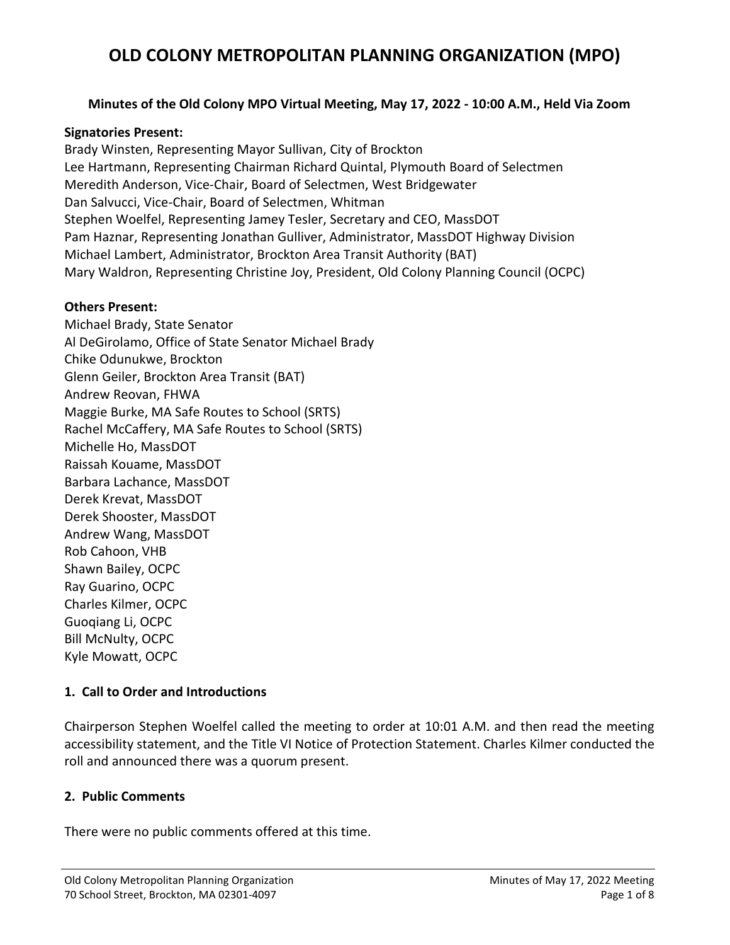### **Minutes of the Old Colony MPO Virtual Meeting, May 17, 2022 - 10:00 A.M., Held Via Zoom**

#### **Signatories Present:**

Brady Winsten, Representing Mayor Sullivan, City of Brockton Lee Hartmann, Representing Chairman Richard Quintal, Plymouth Board of Selectmen Meredith Anderson, Vice-Chair, Board of Selectmen, West Bridgewater Dan Salvucci, Vice-Chair, Board of Selectmen, Whitman Stephen Woelfel, Representing Jamey Tesler, Secretary and CEO, MassDOT Pam Haznar, Representing Jonathan Gulliver, Administrator, MassDOT Highway Division Michael Lambert, Administrator, Brockton Area Transit Authority (BAT) Mary Waldron, Representing Christine Joy, President, Old Colony Planning Council (OCPC)

#### **Others Present:**

Michael Brady, State Senator Al DeGirolamo, Office of State Senator Michael Brady Chike Odunukwe, Brockton Glenn Geiler, Brockton Area Transit (BAT) Andrew Reovan, FHWA Maggie Burke, MA Safe Routes to School (SRTS) Rachel McCaffery, MA Safe Routes to School (SRTS) Michelle Ho, MassDOT Raissah Kouame, MassDOT Barbara Lachance, MassDOT Derek Krevat, MassDOT Derek Shooster, MassDOT Andrew Wang, MassDOT Rob Cahoon, VHB Shawn Bailey, OCPC Ray Guarino, OCPC Charles Kilmer, OCPC Guoqiang Li, OCPC Bill McNulty, OCPC Kyle Mowatt, OCPC

#### **1. Call to Order and Introductions**

Chairperson Stephen Woelfel called the meeting to order at 10:01 A.M. and then read the meeting accessibility statement, and the Title VI Notice of Protection Statement. Charles Kilmer conducted the roll and announced there was a quorum present.

#### **2. Public Comments**

There were no public comments offered at this time.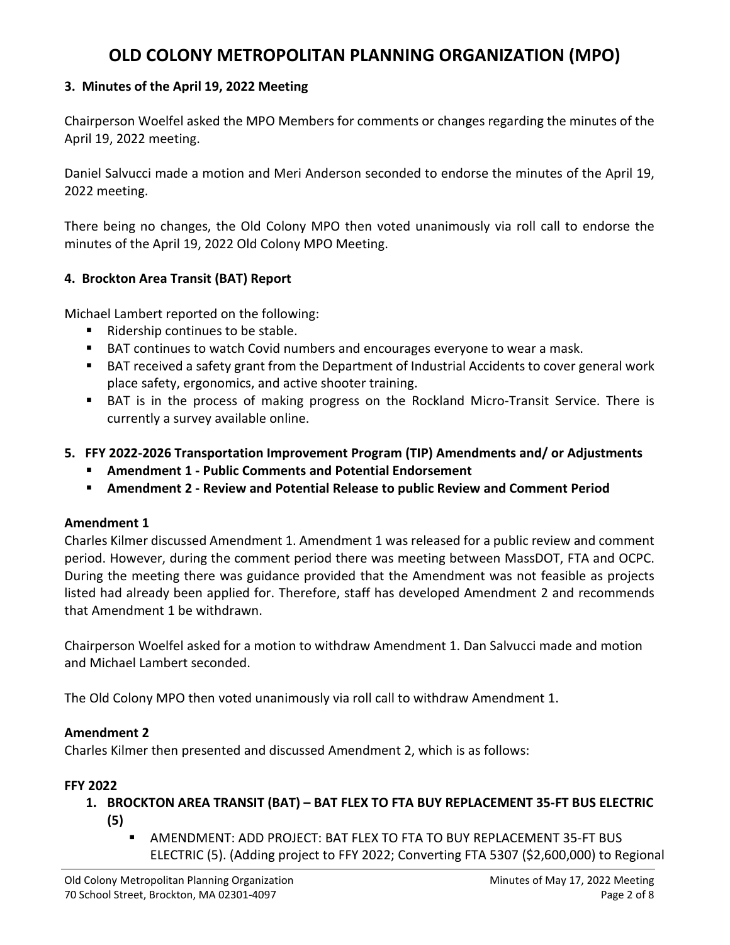### **3. Minutes of the April 19, 2022 Meeting**

Chairperson Woelfel asked the MPO Members for comments or changes regarding the minutes of the April 19, 2022 meeting.

Daniel Salvucci made a motion and Meri Anderson seconded to endorse the minutes of the April 19, 2022 meeting.

There being no changes, the Old Colony MPO then voted unanimously via roll call to endorse the minutes of the April 19, 2022 Old Colony MPO Meeting.

### **4. Brockton Area Transit (BAT) Report**

Michael Lambert reported on the following:

- Ridership continues to be stable.
- BAT continues to watch Covid numbers and encourages everyone to wear a mask.
- BAT received a safety grant from the Department of Industrial Accidents to cover general work place safety, ergonomics, and active shooter training.
- BAT is in the process of making progress on the Rockland Micro-Transit Service. There is currently a survey available online.
- **5. FFY 2022-2026 Transportation Improvement Program (TIP) Amendments and/ or Adjustments**
	- **Amendment 1 - Public Comments and Potential Endorsement**
	- **Amendment 2 - Review and Potential Release to public Review and Comment Period**

### **Amendment 1**

Charles Kilmer discussed Amendment 1. Amendment 1 was released for a public review and comment period. However, during the comment period there was meeting between MassDOT, FTA and OCPC. During the meeting there was guidance provided that the Amendment was not feasible as projects listed had already been applied for. Therefore, staff has developed Amendment 2 and recommends that Amendment 1 be withdrawn.

Chairperson Woelfel asked for a motion to withdraw Amendment 1. Dan Salvucci made and motion and Michael Lambert seconded.

The Old Colony MPO then voted unanimously via roll call to withdraw Amendment 1.

### **Amendment 2**

Charles Kilmer then presented and discussed Amendment 2, which is as follows:

### **FFY 2022**

- **1. BROCKTON AREA TRANSIT (BAT) – BAT FLEX TO FTA BUY REPLACEMENT 35-FT BUS ELECTRIC (5)**
	- AMENDMENT: ADD PROJECT: BAT FLEX TO FTA TO BUY REPLACEMENT 35-FT BUS ELECTRIC (5). (Adding project to FFY 2022; Converting FTA 5307 (\$2,600,000) to Regional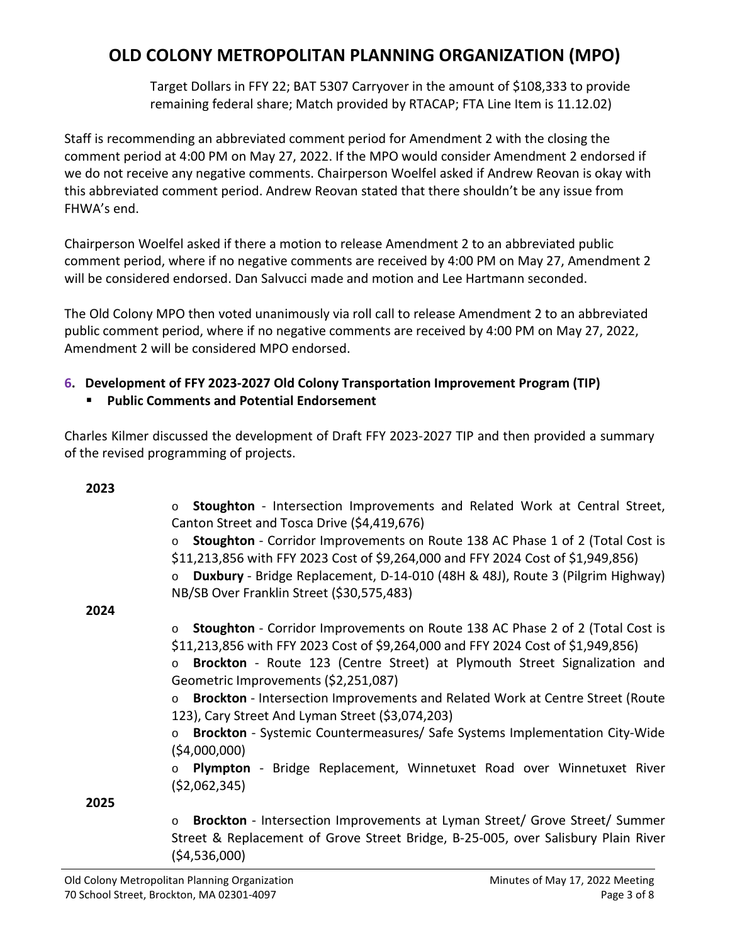Target Dollars in FFY 22; BAT 5307 Carryover in the amount of \$108,333 to provide remaining federal share; Match provided by RTACAP; FTA Line Item is 11.12.02)

Staff is recommending an abbreviated comment period for Amendment 2 with the closing the comment period at 4:00 PM on May 27, 2022. If the MPO would consider Amendment 2 endorsed if we do not receive any negative comments. Chairperson Woelfel asked if Andrew Reovan is okay with this abbreviated comment period. Andrew Reovan stated that there shouldn't be any issue from FHWA's end.

Chairperson Woelfel asked if there a motion to release Amendment 2 to an abbreviated public comment period, where if no negative comments are received by 4:00 PM on May 27, Amendment 2 will be considered endorsed. Dan Salvucci made and motion and Lee Hartmann seconded.

The Old Colony MPO then voted unanimously via roll call to release Amendment 2 to an abbreviated public comment period, where if no negative comments are received by 4:00 PM on May 27, 2022, Amendment 2 will be considered MPO endorsed.

## **6. Development of FFY 2023-2027 Old Colony Transportation Improvement Program (TIP)**

## **Public Comments and Potential Endorsement**

Charles Kilmer discussed the development of Draft FFY 2023-2027 TIP and then provided a summary of the revised programming of projects.

| 2023 |                                                                                          |
|------|------------------------------------------------------------------------------------------|
|      | Stoughton - Intersection Improvements and Related Work at Central Street,<br>$\circ$     |
|      | Canton Street and Tosca Drive (\$4,419,676)                                              |
|      | Stoughton - Corridor Improvements on Route 138 AC Phase 1 of 2 (Total Cost is<br>$\circ$ |
|      | \$11,213,856 with FFY 2023 Cost of \$9,264,000 and FFY 2024 Cost of \$1,949,856)         |
|      | Duxbury - Bridge Replacement, D-14-010 (48H & 48J), Route 3 (Pilgrim Highway)            |
|      | NB/SB Over Franklin Street (\$30,575,483)                                                |
| 2024 |                                                                                          |
|      |                                                                                          |
|      | Stoughton - Corridor Improvements on Route 138 AC Phase 2 of 2 (Total Cost is<br>$\circ$ |
|      | \$11,213,856 with FFY 2023 Cost of \$9,264,000 and FFY 2024 Cost of \$1,949,856)         |
|      | Brockton - Route 123 (Centre Street) at Plymouth Street Signalization and<br>$\circ$     |
|      | Geometric Improvements (\$2,251,087)                                                     |
|      | Brockton - Intersection Improvements and Related Work at Centre Street (Route<br>$\circ$ |
|      | 123), Cary Street And Lyman Street (\$3,074,203)                                         |
|      | Brockton - Systemic Countermeasures/ Safe Systems Implementation City-Wide               |
|      |                                                                                          |
|      | (54,000,000)                                                                             |
|      | Plympton - Bridge Replacement, Winnetuxet Road over Winnetuxet River                     |
|      | (52,062,345)                                                                             |
| 2025 |                                                                                          |
|      | Brockton - Intersection Improvements at Lyman Street/ Grove Street/ Summer<br>$\circ$    |
|      | Street & Replacement of Grove Street Bridge, B-25-005, over Salisbury Plain River        |
|      | (\$4,536,000)                                                                            |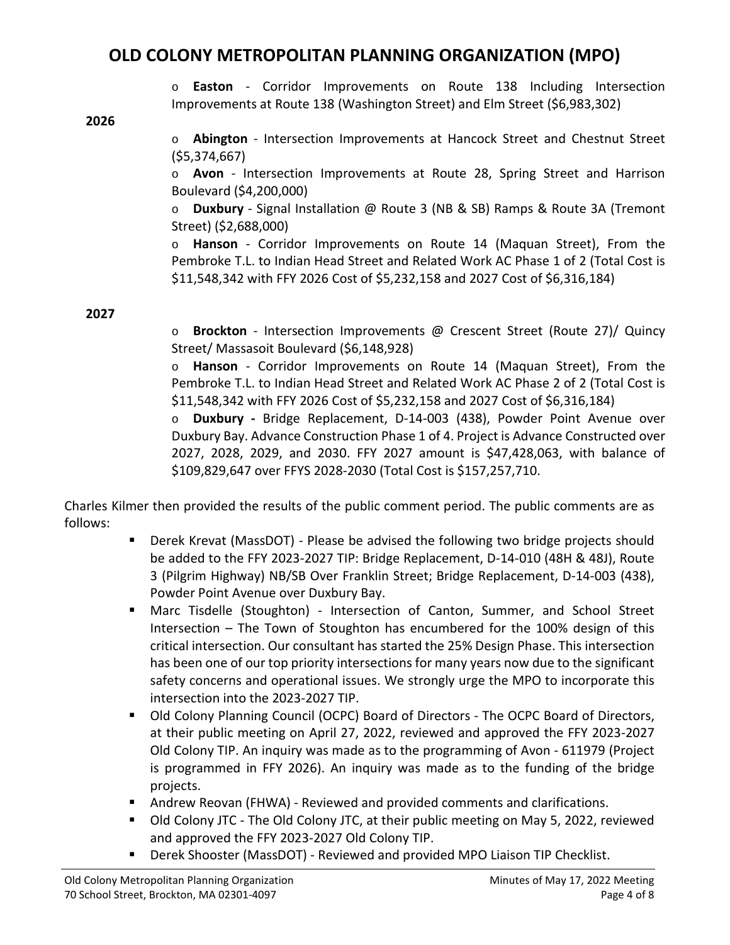o **Easton** - Corridor Improvements on Route 138 Including Intersection Improvements at Route 138 (Washington Street) and Elm Street (\$6,983,302)

**2026**

o **Abington** - Intersection Improvements at Hancock Street and Chestnut Street (\$5,374,667)

o **Avon** - Intersection Improvements at Route 28, Spring Street and Harrison Boulevard (\$4,200,000)

o **Duxbury** - Signal Installation @ Route 3 (NB & SB) Ramps & Route 3A (Tremont Street) (\$2,688,000)

o **Hanson** - Corridor Improvements on Route 14 (Maquan Street), From the Pembroke T.L. to Indian Head Street and Related Work AC Phase 1 of 2 (Total Cost is \$11,548,342 with FFY 2026 Cost of \$5,232,158 and 2027 Cost of \$6,316,184)

**2027**

o **Brockton** - Intersection Improvements @ Crescent Street (Route 27)/ Quincy Street/ Massasoit Boulevard (\$6,148,928)

o **Hanson** - Corridor Improvements on Route 14 (Maquan Street), From the Pembroke T.L. to Indian Head Street and Related Work AC Phase 2 of 2 (Total Cost is \$11,548,342 with FFY 2026 Cost of \$5,232,158 and 2027 Cost of \$6,316,184)

o **Duxbury -** Bridge Replacement, D-14-003 (438), Powder Point Avenue over Duxbury Bay. Advance Construction Phase 1 of 4. Project is Advance Constructed over 2027, 2028, 2029, and 2030. FFY 2027 amount is \$47,428,063, with balance of \$109,829,647 over FFYS 2028-2030 (Total Cost is \$157,257,710.

Charles Kilmer then provided the results of the public comment period. The public comments are as follows:

- Derek Krevat (MassDOT) Please be advised the following two bridge projects should be added to the FFY 2023-2027 TIP: Bridge Replacement, D-14-010 (48H & 48J), Route 3 (Pilgrim Highway) NB/SB Over Franklin Street; Bridge Replacement, D-14-003 (438), Powder Point Avenue over Duxbury Bay.
- Marc Tisdelle (Stoughton) Intersection of Canton, Summer, and School Street Intersection – The Town of Stoughton has encumbered for the 100% design of this critical intersection. Our consultant has started the 25% Design Phase. This intersection has been one of our top priority intersections for many years now due to the significant safety concerns and operational issues. We strongly urge the MPO to incorporate this intersection into the 2023-2027 TIP.
- Old Colony Planning Council (OCPC) Board of Directors The OCPC Board of Directors, at their public meeting on April 27, 2022, reviewed and approved the FFY 2023-2027 Old Colony TIP. An inquiry was made as to the programming of Avon - 611979 (Project is programmed in FFY 2026). An inquiry was made as to the funding of the bridge projects.
- Andrew Reovan (FHWA) Reviewed and provided comments and clarifications.
- **DID** Colony JTC The Old Colony JTC, at their public meeting on May 5, 2022, reviewed and approved the FFY 2023-2027 Old Colony TIP.
- Derek Shooster (MassDOT) Reviewed and provided MPO Liaison TIP Checklist.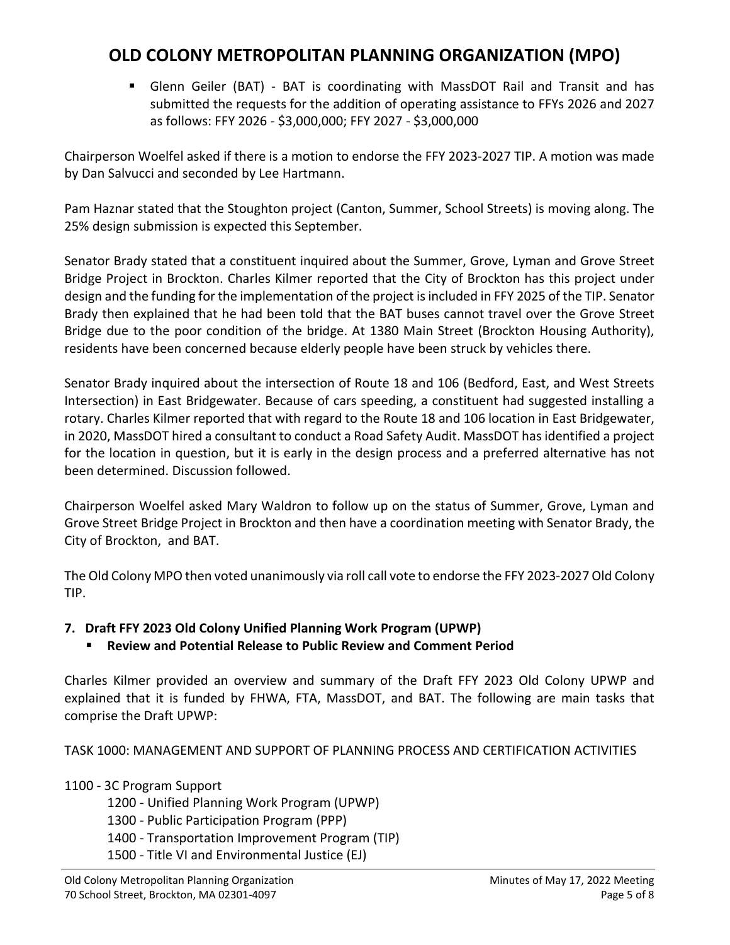Glenn Geiler (BAT) - BAT is coordinating with MassDOT Rail and Transit and has submitted the requests for the addition of operating assistance to FFYs 2026 and 2027 as follows: FFY 2026 - \$3,000,000; FFY 2027 - \$3,000,000

Chairperson Woelfel asked if there is a motion to endorse the FFY 2023-2027 TIP. A motion was made by Dan Salvucci and seconded by Lee Hartmann.

Pam Haznar stated that the Stoughton project (Canton, Summer, School Streets) is moving along. The 25% design submission is expected this September.

Senator Brady stated that a constituent inquired about the Summer, Grove, Lyman and Grove Street Bridge Project in Brockton. Charles Kilmer reported that the City of Brockton has this project under design and the funding for the implementation of the project is included in FFY 2025 of the TIP. Senator Brady then explained that he had been told that the BAT buses cannot travel over the Grove Street Bridge due to the poor condition of the bridge. At 1380 Main Street (Brockton Housing Authority), residents have been concerned because elderly people have been struck by vehicles there.

Senator Brady inquired about the intersection of Route 18 and 106 (Bedford, East, and West Streets Intersection) in East Bridgewater. Because of cars speeding, a constituent had suggested installing a rotary. Charles Kilmer reported that with regard to the Route 18 and 106 location in East Bridgewater, in 2020, MassDOT hired a consultant to conduct a Road Safety Audit. MassDOT has identified a project for the location in question, but it is early in the design process and a preferred alternative has not been determined. Discussion followed.

Chairperson Woelfel asked Mary Waldron to follow up on the status of Summer, Grove, Lyman and Grove Street Bridge Project in Brockton and then have a coordination meeting with Senator Brady, the City of Brockton, and BAT.

The Old Colony MPO then voted unanimously via roll call vote to endorse the FFY 2023-2027 Old Colony TIP.

### **7. Draft FFY 2023 Old Colony Unified Planning Work Program (UPWP)**

**Review and Potential Release to Public Review and Comment Period**

Charles Kilmer provided an overview and summary of the Draft FFY 2023 Old Colony UPWP and explained that it is funded by FHWA, FTA, MassDOT, and BAT. The following are main tasks that comprise the Draft UPWP:

TASK 1000: MANAGEMENT AND SUPPORT OF PLANNING PROCESS AND CERTIFICATION ACTIVITIES

### 1100 - 3C Program Support

- 1200 Unified Planning Work Program (UPWP)
- 1300 Public Participation Program (PPP)
- 1400 Transportation Improvement Program (TIP)
- 1500 Title VI and Environmental Justice (EJ)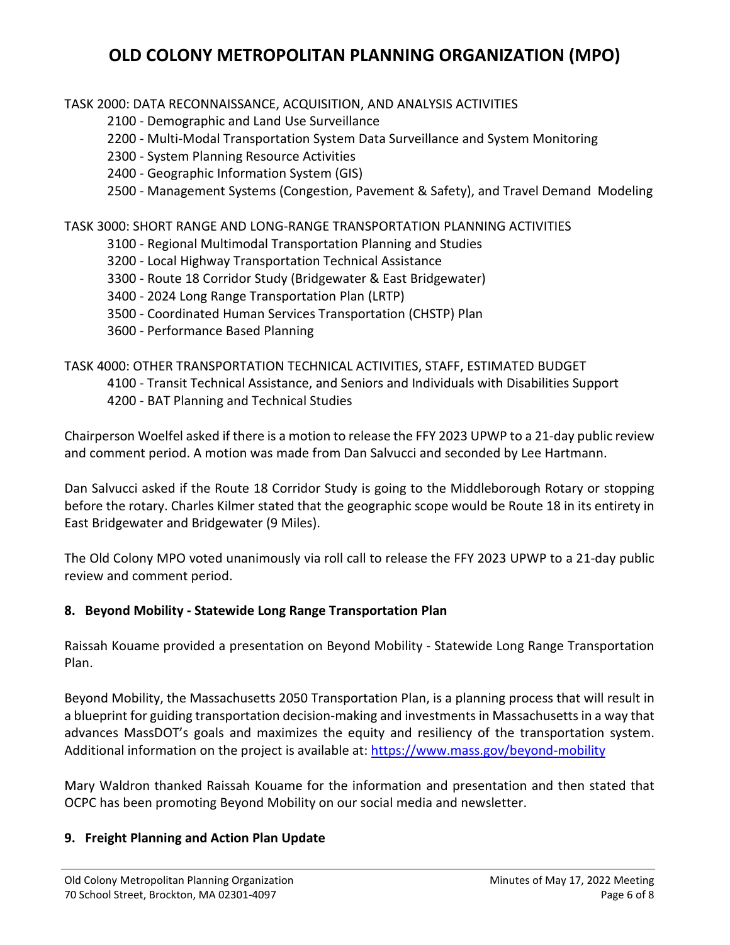TASK 2000: DATA RECONNAISSANCE, ACQUISITION, AND ANALYSIS ACTIVITIES

2100 - Demographic and Land Use Surveillance

2200 - Multi-Modal Transportation System Data Surveillance and System Monitoring

2300 - System Planning Resource Activities

2400 - Geographic Information System (GIS)

2500 - Management Systems (Congestion, Pavement & Safety), and Travel Demand Modeling

TASK 3000: SHORT RANGE AND LONG-RANGE TRANSPORTATION PLANNING ACTIVITIES

- 3100 Regional Multimodal Transportation Planning and Studies
- 3200 Local Highway Transportation Technical Assistance
- 3300 Route 18 Corridor Study (Bridgewater & East Bridgewater)
- 3400 2024 Long Range Transportation Plan (LRTP)
- 3500 Coordinated Human Services Transportation (CHSTP) Plan
- 3600 Performance Based Planning

TASK 4000: OTHER TRANSPORTATION TECHNICAL ACTIVITIES, STAFF, ESTIMATED BUDGET

- 4100 Transit Technical Assistance, and Seniors and Individuals with Disabilities Support
- 4200 BAT Planning and Technical Studies

Chairperson Woelfel asked if there is a motion to release the FFY 2023 UPWP to a 21-day public review and comment period. A motion was made from Dan Salvucci and seconded by Lee Hartmann.

Dan Salvucci asked if the Route 18 Corridor Study is going to the Middleborough Rotary or stopping before the rotary. Charles Kilmer stated that the geographic scope would be Route 18 in its entirety in East Bridgewater and Bridgewater (9 Miles).

The Old Colony MPO voted unanimously via roll call to release the FFY 2023 UPWP to a 21-day public review and comment period.

### **8. Beyond Mobility - Statewide Long Range Transportation Plan**

Raissah Kouame provided a presentation on Beyond Mobility - Statewide Long Range Transportation Plan.

Beyond Mobility, the Massachusetts 2050 Transportation Plan, is a planning process that will result in a blueprint for guiding transportation decision-making and investments in Massachusetts in a way that advances MassDOT's goals and maximizes the equity and resiliency of the transportation system. Additional information on the project is available at:<https://www.mass.gov/beyond-mobility>

Mary Waldron thanked Raissah Kouame for the information and presentation and then stated that OCPC has been promoting Beyond Mobility on our social media and newsletter.

### **9. Freight Planning and Action Plan Update**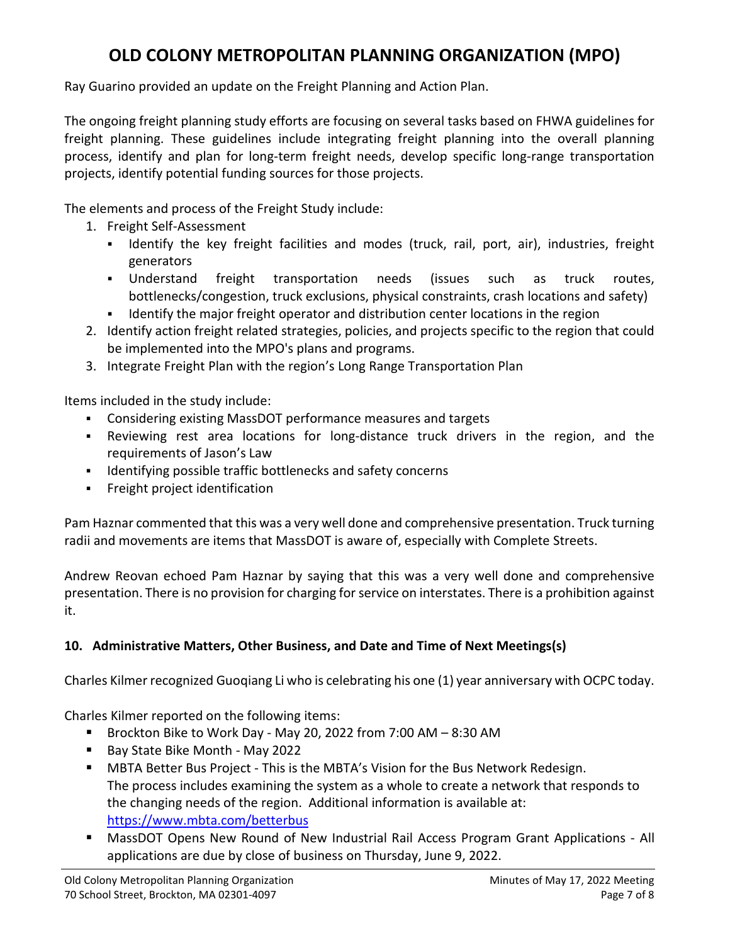Ray Guarino provided an update on the Freight Planning and Action Plan.

The ongoing freight planning study efforts are focusing on several tasks based on FHWA guidelines for freight planning. These guidelines include integrating freight planning into the overall planning process, identify and plan for long-term freight needs, develop specific long-range transportation projects, identify potential funding sources for those projects.

The elements and process of the Freight Study include:

- 1. Freight Self-Assessment
	- I Identify the key freight facilities and modes (truck, rail, port, air), industries, freight generators
	- Understand freight transportation needs (issues such as truck routes, bottlenecks/congestion, truck exclusions, physical constraints, crash locations and safety)
	- Identify the major freight operator and distribution center locations in the region
- 2. Identify action freight related strategies, policies, and projects specific to the region that could be implemented into the MPO's plans and programs.
- 3. Integrate Freight Plan with the region's Long Range Transportation Plan

Items included in the study include:

- Considering existing MassDOT performance measures and targets
- Reviewing rest area locations for long-distance truck drivers in the region, and the requirements of Jason's Law
- **IDENTIFY IDENTIFY** 1 dentifying possible traffic bottlenecks and safety concerns
- **Freight project identification**

Pam Haznar commented that this was a very well done and comprehensive presentation. Truck turning radii and movements are items that MassDOT is aware of, especially with Complete Streets.

Andrew Reovan echoed Pam Haznar by saying that this was a very well done and comprehensive presentation. There is no provision for charging for service on interstates. There is a prohibition against it.

### **10. Administrative Matters, Other Business, and Date and Time of Next Meetings(s)**

Charles Kilmer recognized Guoqiang Li who is celebrating his one (1) year anniversary with OCPC today.

Charles Kilmer reported on the following items:

- Brockton Bike to Work Day May 20, 2022 from 7:00 AM 8:30 AM
- Bay State Bike Month May 2022
- **MBTA Better Bus Project This is the MBTA's Vision for the Bus Network Redesign.** The process includes examining the system as a whole to create a network that responds to the changing needs of the region. Additional information is available at: <https://www.mbta.com/betterbus>
- MassDOT Opens New Round of New Industrial Rail Access Program Grant Applications All applications are due by close of business on Thursday, June 9, 2022.